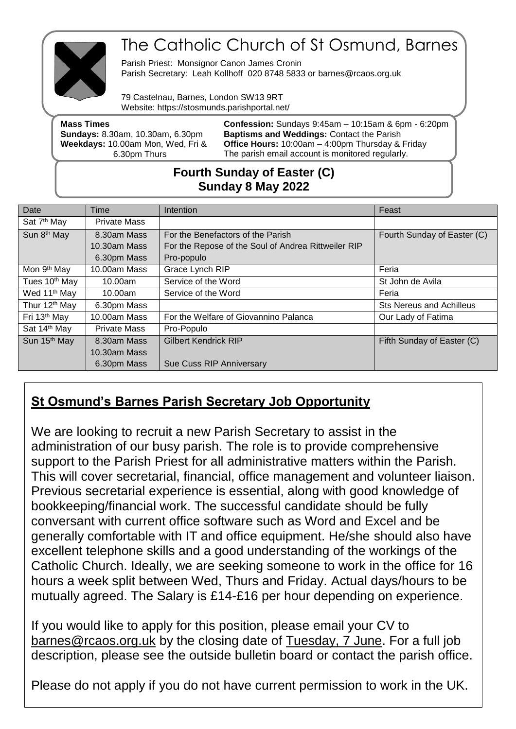

## The Catholic Church of St Osmund, Barnes

Parish Priest: Monsignor Canon James Cronin Parish Secretary: Leah Kollhoff 020 8748 5833 or barnes@rcaos.org.uk

79 Castelnau, Barnes, London SW13 9RT Website: https://stosmunds.parishportal.net/

| <b>Mass Times</b>                       | <b>Confession:</b> Sundays $9:45$ am $- 10:15$ am & $6$ pm $- 6:20$ pm |
|-----------------------------------------|------------------------------------------------------------------------|
| <b>Sundays: 8.30am, 10.30am, 6.30pm</b> | <b>Baptisms and Weddings: Contact the Parish</b>                       |
| Weekdays: 10.00am Mon, Wed, Fri &       | <b>Office Hours:</b> $10:00$ am $-$ 4:00pm Thursday & Friday           |
| 6.30pm Thurs                            | The parish email account is monitored regularly.                       |
|                                         |                                                                        |

## **Fourth Sunday of Easter (C) Sunday 8 May 2022**

| Date                      | Time                | Intention                                           | Feast                           |
|---------------------------|---------------------|-----------------------------------------------------|---------------------------------|
| Sat 7 <sup>th</sup> May   | <b>Private Mass</b> |                                                     |                                 |
| Sun 8 <sup>th</sup> May   | 8.30am Mass         | For the Benefactors of the Parish                   | Fourth Sunday of Easter (C)     |
|                           | $10.30$ am Mass     | For the Repose of the Soul of Andrea Rittweiler RIP |                                 |
|                           | 6.30pm Mass         | Pro-populo                                          |                                 |
| Mon 9 <sup>th</sup> May   | 10.00am Mass        | Grace Lynch RIP                                     | Feria                           |
| Tues 10 <sup>th</sup> May | 10.00am             | Service of the Word                                 | St John de Avila                |
| Wed 11 <sup>th</sup> May  | 10.00am             | Service of the Word                                 | Feria                           |
| Thur 12 <sup>th</sup> May | 6.30pm Mass         |                                                     | <b>Sts Nereus and Achilleus</b> |
| Fri 13 <sup>th</sup> May  | 10.00am Mass        | For the Welfare of Giovannino Palanca               | Our Lady of Fatima              |
| Sat 14th May              | <b>Private Mass</b> | Pro-Populo                                          |                                 |
| Sun 15th May              | 8.30am Mass         | <b>Gilbert Kendrick RIP</b>                         | Fifth Sunday of Easter (C)      |
|                           | 10.30am Mass        |                                                     |                                 |
|                           | 6.30pm Mass         | Sue Cuss RIP Anniversary                            |                                 |

## **St Osmund's Barnes Parish Secretary Job Opportunity**

We are looking to recruit a new Parish Secretary to assist in the administration of our busy parish. The role is to provide comprehensive support to the Parish Priest for all administrative matters within the Parish. This will cover secretarial, financial, office management and volunteer liaison. Previous secretarial experience is essential, along with good knowledge of bookkeeping/financial work. The successful candidate should be fully conversant with current office software such as Word and Excel and be generally comfortable with IT and office equipment. He/she should also have excellent telephone skills and a good understanding of the workings of the Catholic Church. Ideally, we are seeking someone to work in the office for 16 hours a week split between Wed, Thurs and Friday. Actual days/hours to be mutually agreed. The Salary is £14-£16 per hour depending on experience.

If you would like to apply for this position, please email your CV to [barnes@rcaos.org.uk](mailto:barnes@rcaos.org.uk) by the closing date of Tuesday, 7 June. For a full job description, please see the outside bulletin board or contact the parish office.

Please do not apply if you do not have current permission to work in the UK.